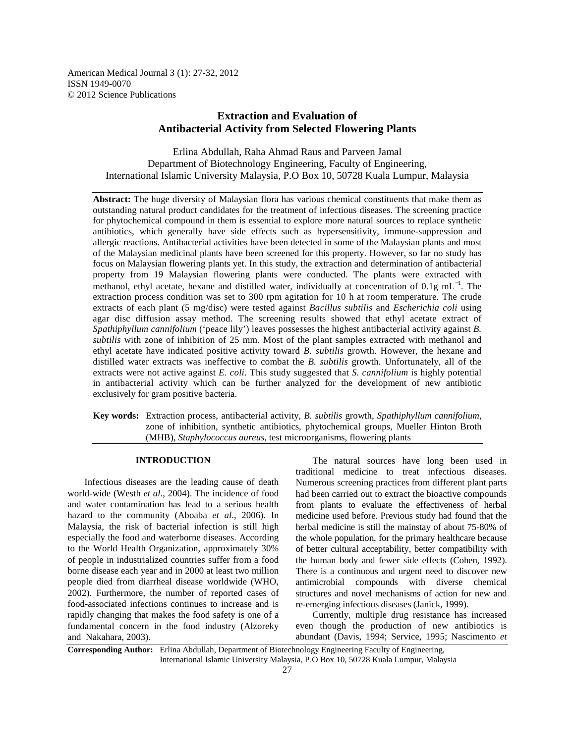American Medical Journal 3 (1): 27-32, 2012 ISSN 1949-0070 © 2012 Science Publications

# **Extraction and Evaluation of Antibacterial Activity from Selected Flowering Plants**

Erlina Abdullah, Raha Ahmad Raus and Parveen Jamal Department of Biotechnology Engineering, Faculty of Engineering, International Islamic University Malaysia, P.O Box 10, 50728 Kuala Lumpur, Malaysia

**Abstract:** The huge diversity of Malaysian flora has various chemical constituents that make them as outstanding natural product candidates for the treatment of infectious diseases. The screening practice for phytochemical compound in them is essential to explore more natural sources to replace synthetic antibiotics, which generally have side effects such as hypersensitivity, immune-suppression and allergic reactions. Antibacterial activities have been detected in some of the Malaysian plants and most of the Malaysian medicinal plants have been screened for this property. However, so far no study has focus on Malaysian flowering plants yet. In this study, the extraction and determination of antibacterial property from 19 Malaysian flowering plants were conducted. The plants were extracted with methanol, ethyl acetate, hexane and distilled water, individually at concentration of 0.1g mL<sup>-1</sup>. The extraction process condition was set to 300 rpm agitation for 10 h at room temperature. The crude extracts of each plant (5 mg/disc) were tested against *Bacillus subtilis* and *Escherichia coli* using agar disc diffusion assay method. The screening results showed that ethyl acetate extract of *Spathiphyllum cannifolium* ('peace lily') leaves possesses the highest antibacterial activity against *B. subtilis* with zone of inhibition of 25 mm. Most of the plant samples extracted with methanol and ethyl acetate have indicated positive activity toward *B. subtilis* growth. However, the hexane and distilled water extracts was ineffective to combat the *B. subtilis* growth. Unfortunately, all of the extracts were not active against *E. coli*. This study suggested that *S. cannifolium* is highly potential in antibacterial activity which can be further analyzed for the development of new antibiotic exclusively for gram positive bacteria.

**Key words:** Extraction process, antibacterial activity, *B. subtilis* growth, *Spathiphyllum cannifolium*, zone of inhibition, synthetic antibiotics, phytochemical groups, Mueller Hinton Broth (MHB), *Staphylococcus aureus*, test microorganisms, flowering plants

# **INTRODUCTION**

 Infectious diseases are the leading cause of death world-wide (Westh *et al*., 2004). The incidence of food and water contamination has lead to a serious health hazard to the community (Aboaba *et al*., 2006). In Malaysia, the risk of bacterial infection is still high especially the food and waterborne diseases. According to the World Health Organization, approximately 30% of people in industrialized countries suffer from a food borne disease each year and in 2000 at least two million people died from diarrheal disease worldwide (WHO, 2002). Furthermore, the number of reported cases of food-associated infections continues to increase and is rapidly changing that makes the food safety is one of a fundamental concern in the food industry (Alzoreky and Nakahara, 2003).

 The natural sources have long been used in traditional medicine to treat infectious diseases. Numerous screening practices from different plant parts had been carried out to extract the bioactive compounds from plants to evaluate the effectiveness of herbal medicine used before. Previous study had found that the herbal medicine is still the mainstay of about 75-80% of the whole population, for the primary healthcare because of better cultural acceptability, better compatibility with the human body and fewer side effects (Cohen, 1992). There is a continuous and urgent need to discover new antimicrobial compounds with diverse chemical structures and novel mechanisms of action for new and re-emerging infectious diseases (Janick, 1999).

 Currently, multiple drug resistance has increased even though the production of new antibiotics is abundant (Davis, 1994; Service, 1995; Nascimento *et* 

**Corresponding Author:** Erlina Abdullah, Department of Biotechnology Engineering Faculty of Engineering, International Islamic University Malaysia, P.O Box 10, 50728 Kuala Lumpur, Malaysia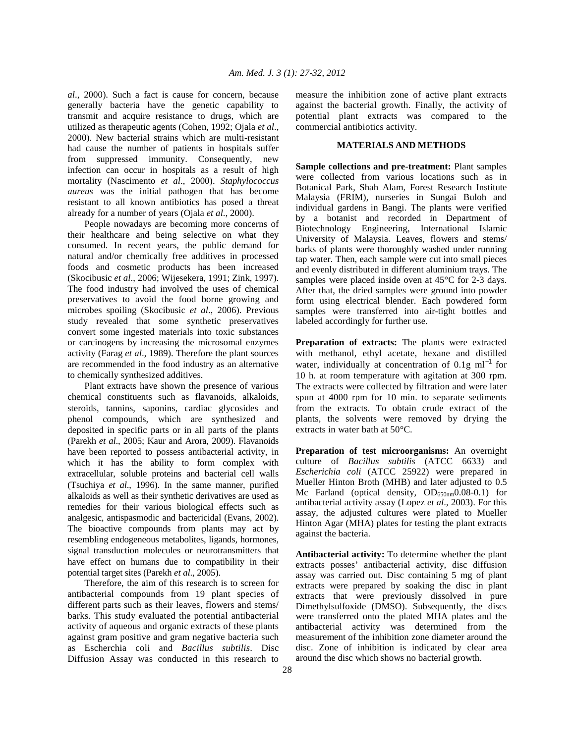*al*., 2000). Such a fact is cause for concern, because generally bacteria have the genetic capability to transmit and acquire resistance to drugs, which are utilized as therapeutic agents (Cohen, 1992; Ojala *et al*., 2000). New bacterial strains which are multi-resistant had cause the number of patients in hospitals suffer from suppressed immunity. Consequently, new infection can occur in hospitals as a result of high mortality (Nascimento *et al*., 2000). *Staphylococcus aureus* was the initial pathogen that has become resistant to all known antibiotics has posed a threat already for a number of years (Ojala *et al*., 2000).

 People nowadays are becoming more concerns of their healthcare and being selective on what they consumed. In recent years, the public demand for natural and/or chemically free additives in processed foods and cosmetic products has been increased (Skocibusic *et al*., 2006; Wijesekera, 1991; Zink, 1997). The food industry had involved the uses of chemical preservatives to avoid the food borne growing and microbes spoiling (Skocibusic *et al*., 2006). Previous study revealed that some synthetic preservatives convert some ingested materials into toxic substances or carcinogens by increasing the microsomal enzymes activity (Farag *et al*., 1989). Therefore the plant sources are recommended in the food industry as an alternative to chemically synthesized additives.

 Plant extracts have shown the presence of various chemical constituents such as flavanoids, alkaloids, steroids, tannins, saponins, cardiac glycosides and phenol compounds, which are synthesized and deposited in specific parts or in all parts of the plants (Parekh *et al*., 2005; Kaur and Arora, 2009). Flavanoids have been reported to possess antibacterial activity, in which it has the ability to form complex with extracellular, soluble proteins and bacterial cell walls (Tsuchiya *et al*., 1996). In the same manner, purified alkaloids as well as their synthetic derivatives are used as remedies for their various biological effects such as analgesic, antispasmodic and bactericidal (Evans, 2002). The bioactive compounds from plants may act by resembling endogeneous metabolites, ligands, hormones, signal transduction molecules or neurotransmitters that have effect on humans due to compatibility in their potential target sites (Parekh *et al*., 2005).

 Therefore, the aim of this research is to screen for antibacterial compounds from 19 plant species of different parts such as their leaves, flowers and stems/ barks. This study evaluated the potential antibacterial activity of aqueous and organic extracts of these plants against gram positive and gram negative bacteria such as Escherchia coli and *Bacillus subtilis*. Disc Diffusion Assay was conducted in this research to

measure the inhibition zone of active plant extracts against the bacterial growth. Finally, the activity of potential plant extracts was compared to the commercial antibiotics activity.

## **MATERIALS AND METHODS**

**Sample collections and pre-treatment:** Plant samples were collected from various locations such as in Botanical Park, Shah Alam, Forest Research Institute Malaysia (FRIM), nurseries in Sungai Buloh and individual gardens in Bangi. The plants were verified by a botanist and recorded in Department of Biotechnology Engineering, International Islamic University of Malaysia. Leaves, flowers and stems/ barks of plants were thoroughly washed under running tap water. Then, each sample were cut into small pieces and evenly distributed in different aluminium trays. The samples were placed inside oven at 45<sup>o</sup>C for 2-3 days. After that, the dried samples were ground into powder form using electrical blender. Each powdered form samples were transferred into air-tight bottles and labeled accordingly for further use.

**Preparation of extracts:** The plants were extracted with methanol, ethyl acetate, hexane and distilled water, individually at concentration of 0.1g m $^{-1}$  for 10 h. at room temperature with agitation at 300 rpm. The extracts were collected by filtration and were later spun at 4000 rpm for 10 min. to separate sediments from the extracts. To obtain crude extract of the plants, the solvents were removed by drying the extracts in water bath at 50°C.

**Preparation of test microorganisms:** An overnight culture of *Bacillus subtilis* (ATCC 6633) and *Escherichia coli* (ATCC 25922) were prepared in Mueller Hinton Broth (MHB) and later adjusted to 0.5 Mc Farland (optical density,  $OD_{650nm}$ 0.08-0.1) for antibacterial activity assay (Lopez *et al*., 2003). For this assay, the adjusted cultures were plated to Mueller Hinton Agar (MHA) plates for testing the plant extracts against the bacteria.

**Antibacterial activity:** To determine whether the plant extracts posses' antibacterial activity, disc diffusion assay was carried out. Disc containing 5 mg of plant extracts were prepared by soaking the disc in plant extracts that were previously dissolved in pure Dimethylsulfoxide (DMSO). Subsequently, the discs were transferred onto the plated MHA plates and the antibacterial activity was determined from the measurement of the inhibition zone diameter around the disc. Zone of inhibition is indicated by clear area around the disc which shows no bacterial growth.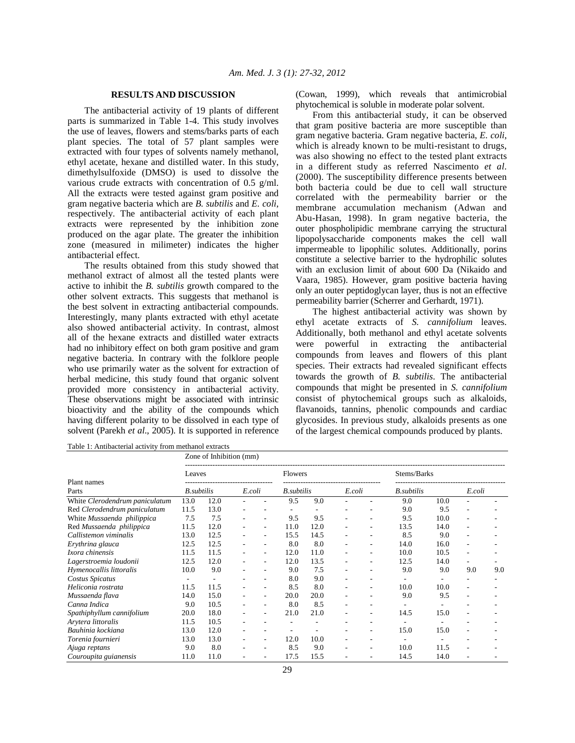## **RESULTS AND DISCUSSION**

 The antibacterial activity of 19 plants of different parts is summarized in Table 1-4. This study involves the use of leaves, flowers and stems/barks parts of each plant species. The total of 57 plant samples were extracted with four types of solvents namely methanol, ethyl acetate, hexane and distilled water. In this study, dimethylsulfoxide (DMSO) is used to dissolve the various crude extracts with concentration of 0.5 g/ml. All the extracts were tested against gram positive and gram negative bacteria which are *B. subtilis* and *E. coli*, respectively. The antibacterial activity of each plant extracts were represented by the inhibition zone produced on the agar plate. The greater the inhibition zone (measured in milimeter) indicates the higher antibacterial effect.

 The results obtained from this study showed that methanol extract of almost all the tested plants were active to inhibit the *B. subtilis* growth compared to the other solvent extracts. This suggests that methanol is the best solvent in extracting antibacterial compounds. Interestingly, many plants extracted with ethyl acetate also showed antibacterial activity. In contrast, almost all of the hexane extracts and distilled water extracts had no inhibitory effect on both gram positive and gram negative bacteria. In contrary with the folklore people who use primarily water as the solvent for extraction of herbal medicine, this study found that organic solvent provided more consistency in antibacterial activity. These observations might be associated with intrinsic bioactivity and the ability of the compounds which having different polarity to be dissolved in each type of solvent (Parekh *et al*., 2005). It is supported in reference

(Cowan, 1999), which reveals that antimicrobial phytochemical is soluble in moderate polar solvent.

 From this antibacterial study, it can be observed that gram positive bacteria are more susceptible than gram negative bacteria. Gram negative bacteria, *E. coli*, which is already known to be multi-resistant to drugs, was also showing no effect to the tested plant extracts in a different study as referred Nascimento *et al*. (2000). The susceptibility difference presents between both bacteria could be due to cell wall structure correlated with the permeability barrier or the membrane accumulation mechanism (Adwan and Abu-Hasan, 1998). In gram negative bacteria, the outer phospholipidic membrane carrying the structural lipopolysaccharide components makes the cell wall impermeable to lipophilic solutes. Additionally, porins constitute a selective barrier to the hydrophilic solutes with an exclusion limit of about 600 Da (Nikaido and Vaara, 1985). However, gram positive bacteria having only an outer peptidoglycan layer, thus is not an effective permeability barrier (Scherrer and Gerhardt, 1971).

 The highest antibacterial activity was shown by ethyl acetate extracts of *S. cannifolium* leaves. Additionally, both methanol and ethyl acetate solvents were powerful in extracting the antibacterial compounds from leaves and flowers of this plant species. Their extracts had revealed significant effects towards the growth of *B. subtilis*. The antibacterial compounds that might be presented in *S. cannifolium* consist of phytochemical groups such as alkaloids, flavanoids, tannins, phenolic compounds and cardiac glycosides. In previous study, alkaloids presents as one of the largest chemical compounds produced by plants.

Table 1: Antibacterial activity from methanol extracts

|                                         | Zone of Inhibition (mm) |      |        |                          |         |                    |                          |                          |                    |      |        |     |  |
|-----------------------------------------|-------------------------|------|--------|--------------------------|---------|--------------------|--------------------------|--------------------------|--------------------|------|--------|-----|--|
|                                         | Leaves                  |      |        |                          | Flowers |                    |                          |                          | Stems/Barks        |      |        |     |  |
| Plant names                             |                         |      |        |                          |         |                    |                          |                          |                    |      |        |     |  |
| Parts<br>White Clerodendrum paniculatum | <b>B.</b> subtilis      |      | E.coli |                          |         | <b>B.</b> subtilis |                          | E.coli                   | <b>B.</b> subtilis |      | E.coli |     |  |
|                                         | 13.0                    | 12.0 |        |                          | 9.5     | 9.0                |                          |                          | 9.0                | 10.0 |        |     |  |
| Red Clerodendrum paniculatum            | 11.5                    | 13.0 |        |                          |         |                    |                          |                          | 9.0                | 9.5  | ٠      |     |  |
| White Mussaenda philippica              | 7.5                     | 7.5  |        |                          | 9.5     | 9.5                | $\overline{\phantom{a}}$ |                          | 9.5                | 10.0 | ٠      |     |  |
| Red Mussaenda philippica                | 11.5                    | 12.0 |        |                          | 11.0    | 12.0               |                          |                          | 13.5               | 14.0 | ٠      |     |  |
| Callistemon viminalis                   | 13.0                    | 12.5 |        |                          | 15.5    | 14.5               |                          |                          | 8.5                | 9.0  | ٠      |     |  |
| Erythrina glauca                        | 12.5                    | 12.5 |        |                          | 8.0     | 8.0                |                          |                          | 14.0               | 16.0 | ۰      |     |  |
| Ixora chinensis                         | 11.5                    | 11.5 |        |                          | 12.0    | 11.0               |                          |                          | 10.0               | 10.5 | -      |     |  |
| Lagerstroemia loudonii                  | 12.5                    | 12.0 |        |                          | 12.0    | 13.5               | $\overline{\phantom{a}}$ |                          | 12.5               | 14.0 | ٠      |     |  |
| Hymenocallis littoralis                 | 10.0                    | 9.0  |        |                          | 9.0     | 7.5                | ۰.                       | $\overline{\phantom{a}}$ | 9.0                | 9.0  | 9.0    | 9.0 |  |
| Costus Spicatus                         |                         | ۰    |        |                          | 8.0     | 9.0                | ٠                        |                          |                    |      |        |     |  |
| Heliconia rostrata                      | 11.5                    | 11.5 | ٠      |                          | 8.5     | 8.0                | $\overline{\phantom{a}}$ | $\overline{\phantom{a}}$ | 10.0               | 10.0 | ۰      |     |  |
| Mussaenda flava                         | 14.0                    | 15.0 |        |                          | 20.0    | 20.0               |                          |                          | 9.0                | 9.5  | ۰      |     |  |
| Canna Indica                            | 9.0                     | 10.5 |        |                          | 8.0     | 8.5                |                          |                          |                    |      |        |     |  |
| Spathiphyllum cannifolium               | 20.0                    | 18.0 |        |                          | 21.0    | 21.0               |                          |                          | 14.5               | 15.0 |        |     |  |
| Arytera littoralis                      | 11.5                    | 10.5 |        |                          |         |                    |                          |                          |                    |      |        |     |  |
| Bauhinia kockiana                       | 13.0                    | 12.0 |        |                          |         |                    |                          |                          | 15.0               | 15.0 |        |     |  |
| Torenia fournieri                       | 13.0                    | 13.0 |        |                          | 12.0    | 10.0               |                          |                          |                    |      |        |     |  |
| Ajuga reptans                           | 9.0                     | 8.0  |        | $\overline{\phantom{a}}$ | 8.5     | 9.0                | ٠                        | $\overline{\phantom{a}}$ | 10.0               | 11.5 | ۰      |     |  |
| Couroupita guianensis                   | 11.0                    | 11.0 |        |                          | 17.5    | 15.5               |                          |                          | 14.5               | 14.0 |        |     |  |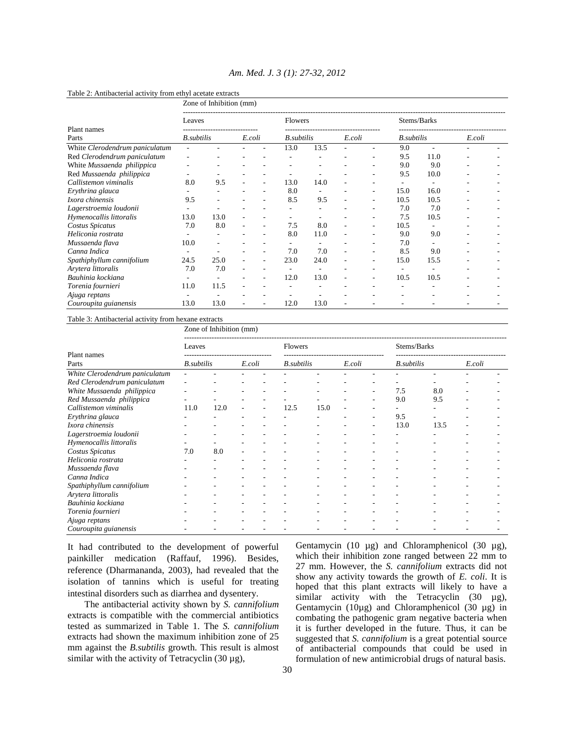|                                | Zone of Inhibition (mm) |      |        |                          |                    |      |                          |    |                          |      |        |  |  |
|--------------------------------|-------------------------|------|--------|--------------------------|--------------------|------|--------------------------|----|--------------------------|------|--------|--|--|
|                                | Leaves                  |      |        |                          | Flowers            |      |                          |    | Stems/Barks              |      |        |  |  |
| Plant names                    |                         |      |        |                          |                    |      |                          |    |                          |      |        |  |  |
| Parts                          | <b>B.</b> subtilis      |      | E.coli |                          | <b>B</b> .subtilis |      | E.coli                   |    | <b>B</b> .subtilis       |      | E.coli |  |  |
| White Clerodendrum paniculatum |                         |      |        |                          | 13.0               | 13.5 |                          |    | 9.0                      |      |        |  |  |
| Red Clerodendrum paniculatum   |                         |      |        |                          |                    |      |                          | ٠  | 9.5                      | 11.0 |        |  |  |
| White Mussaenda philippica     |                         |      |        |                          |                    |      |                          |    | 9.0                      | 9.0  |        |  |  |
| Red Mussaenda philippica       |                         |      |        |                          | ۰                  |      |                          |    | 9.5                      | 10.0 |        |  |  |
| Callistemon viminalis          | 8.0                     | 9.5  |        |                          | 13.0               | 14.0 |                          |    | ۰                        |      |        |  |  |
| Erythrina glauca               |                         |      |        |                          | 8.0                |      |                          |    | 15.0                     | 16.0 |        |  |  |
| Ixora chinensis                | 9.5                     |      |        |                          | 8.5                | 9.5  |                          |    | 10.5                     | 10.5 |        |  |  |
| Lagerstroemia loudonii         |                         |      |        |                          |                    |      |                          |    | 7.0                      | 7.0  |        |  |  |
| Hymenocallis littoralis        | 13.0                    | 13.0 |        |                          |                    |      |                          |    | 7.5                      | 10.5 |        |  |  |
| Costus Spicatus                | 7.0                     | 8.0  |        |                          | 7.5                | 8.0  |                          | ٠  | 10.5                     |      |        |  |  |
| Heliconia rostrata             |                         |      |        |                          | 8.0                | 11.0 |                          |    | 9.0                      | 9.0  |        |  |  |
| Mussaenda flava                | 10.0                    |      |        |                          |                    |      |                          |    | 7.0                      |      |        |  |  |
| Canna Indica                   | ٠                       |      |        | $\overline{\phantom{a}}$ | 7.0                | 7.0  | $\overline{\phantom{a}}$ | ۰. | 8.5                      | 9.0  |        |  |  |
| Spathiphyllum cannifolium      | 24.5                    | 25.0 |        | $\overline{\phantom{a}}$ | 23.0               | 24.0 |                          |    | 15.0                     | 15.5 |        |  |  |
| Arytera littoralis             | 7.0                     | 7.0  |        |                          | ۰                  | ۰    |                          | ٠  | $\overline{\phantom{a}}$ |      |        |  |  |
| Bauhinia kockiana              |                         |      |        |                          | 12.0               | 13.0 |                          | ٠  | 10.5                     | 10.5 |        |  |  |
| Torenia fournieri              | 11.0                    | 11.5 |        |                          |                    |      |                          |    |                          |      |        |  |  |
| Ajuga reptans                  |                         |      |        |                          |                    |      |                          |    |                          |      |        |  |  |
| Couroupita guianensis          | 13.0                    | 13.0 |        |                          | 12.0               | 13.0 |                          |    |                          |      |        |  |  |

# *Am. Med. J. 3 (1): 27-32, 2012*

#### Table 2: Antibacterial activity from ethyl acetate extracts

## Table 3: Antibacterial activity from hexane extracts

Zone of Inhibition (mm)

| Plant names<br>Parts<br>White Clerodendrum paniculatum | Leaves     |      |        |   | <b>Flowers</b>     |      |        |    | Stems/Barks        |      |        |  |
|--------------------------------------------------------|------------|------|--------|---|--------------------|------|--------|----|--------------------|------|--------|--|
|                                                        |            |      |        |   |                    |      |        |    |                    |      |        |  |
|                                                        | B.subtilis |      | E.coli |   | <b>B.</b> subtilis |      | E.coli |    | <b>B</b> .subtilis |      | E.coli |  |
|                                                        |            |      |        |   |                    |      |        |    |                    |      |        |  |
| Red Clerodendrum paniculatum                           |            |      |        |   |                    |      |        |    |                    |      |        |  |
| White Mussaenda philippica                             |            |      |        |   |                    |      |        | -  | 7.5                | 8.0  |        |  |
| Red Mussaenda philippica                               |            |      |        |   |                    |      |        | ۰  | 9.0                | 9.5  |        |  |
| Callistemon viminalis                                  | 11.0       | 12.0 |        | ٠ | 12.5               | 15.0 |        |    |                    |      |        |  |
| Erythrina glauca                                       |            |      |        |   |                    |      |        | ۰  | 9.5                |      |        |  |
| Ixora chinensis                                        |            |      |        |   |                    |      |        | ۰. | 13.0               | 13.5 |        |  |
| Lagerstroemia loudonii                                 |            |      |        |   |                    |      |        |    |                    |      |        |  |
| Hymenocallis littoralis                                |            |      |        |   |                    |      |        |    |                    |      |        |  |
| Costus Spicatus                                        | 7.0        | 8.0  |        |   |                    |      |        |    |                    |      |        |  |
| Heliconia rostrata                                     |            |      |        |   |                    |      |        |    |                    |      |        |  |
| Mussaenda flava                                        |            |      |        |   |                    |      |        |    |                    |      |        |  |
| Canna Indica                                           |            |      |        |   |                    |      |        |    |                    |      |        |  |
| Spathiphyllum cannifolium                              |            |      |        |   |                    |      |        |    |                    |      |        |  |
| Arytera littoralis                                     |            |      |        |   |                    |      |        |    |                    |      |        |  |
| Bauhinia kockiana                                      |            |      |        |   |                    |      |        |    |                    |      |        |  |
| Torenia fournieri                                      |            |      |        |   |                    |      |        |    |                    |      |        |  |
| Ajuga reptans                                          |            |      |        |   |                    |      |        |    |                    |      |        |  |
| Couroupita guianensis                                  |            |      |        |   |                    |      |        |    |                    |      |        |  |

It had contributed to the development of powerful painkiller medication (Raffauf, 1996). Besides, reference (Dharmananda, 2003), had revealed that the isolation of tannins which is useful for treating intestinal disorders such as diarrhea and dysentery.

 The antibacterial activity shown by *S. cannifolium* extracts is compatible with the commercial antibiotics tested as summarized in Table 1. The *S. cannifolium* extracts had shown the maximum inhibition zone of 25 mm against the *B.subtilis* growth. This result is almost similar with the activity of Tetracyclin  $(30 \mu g)$ ,

Gentamycin (10 µg) and Chloramphenicol (30 µg), which their inhibition zone ranged between 22 mm to 27 mm. However, the *S. cannifolium* extracts did not show any activity towards the growth of *E. coli*. It is hoped that this plant extracts will likely to have a similar activity with the Tetracyclin (30 µg), Gentamycin (10 $\mu$ g) and Chloramphenicol (30  $\mu$ g) in combating the pathogenic gram negative bacteria when it is further developed in the future. Thus, it can be suggested that *S. cannifolium* is a great potential source of antibacterial compounds that could be used in formulation of new antimicrobial drugs of natural basis.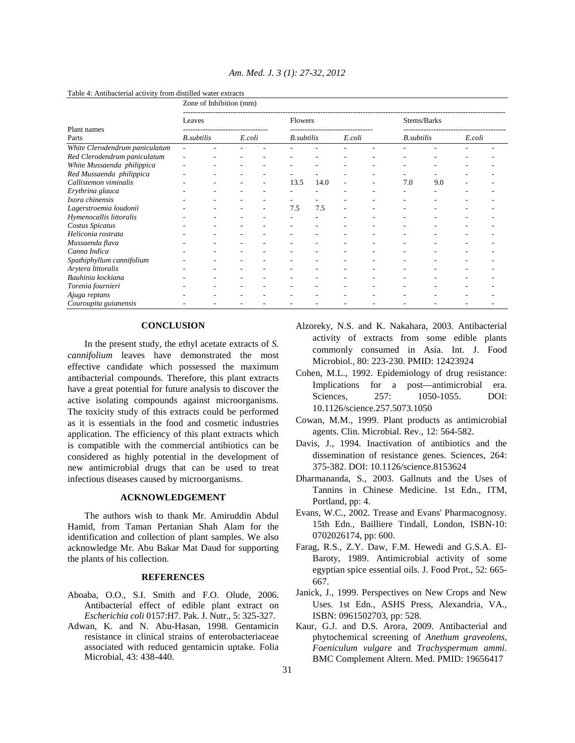|                                         | Zone of Inhibition (mm) |  |        |  |                    |      |        |  |                    |     |        |  |  |
|-----------------------------------------|-------------------------|--|--------|--|--------------------|------|--------|--|--------------------|-----|--------|--|--|
|                                         | Leaves                  |  |        |  | Flowers            |      |        |  | Stems/Barks        |     |        |  |  |
| Plant names                             |                         |  |        |  |                    |      |        |  |                    |     |        |  |  |
| Parts<br>White Clerodendrum paniculatum | <b>B.</b> subtilis      |  | E.coli |  | <b>B</b> .subtilis |      | E.coli |  | <b>B.</b> subtilis |     | E.coli |  |  |
|                                         |                         |  |        |  |                    |      |        |  |                    |     |        |  |  |
| Red Clerodendrum paniculatum            |                         |  |        |  |                    |      |        |  |                    |     |        |  |  |
| White Mussaenda philippica              |                         |  |        |  |                    |      |        |  |                    |     |        |  |  |
| Red Mussaenda philippica                |                         |  |        |  |                    |      |        |  |                    |     |        |  |  |
| Callistemon viminalis                   |                         |  |        |  | 13.5               | 14.0 |        |  | 7.0                | 9.0 |        |  |  |
| Erythrina glauca                        |                         |  |        |  |                    |      |        |  |                    |     |        |  |  |
| Ixora chinensis                         |                         |  |        |  |                    |      |        |  |                    |     |        |  |  |
| Lagerstroemia loudonii                  |                         |  |        |  | 7.5                | 7.5  |        |  |                    |     |        |  |  |
| Hymenocallis littoralis                 |                         |  |        |  |                    |      |        |  |                    |     |        |  |  |
| Costus Spicatus                         |                         |  |        |  |                    |      |        |  |                    |     |        |  |  |
| Heliconia rostrata                      |                         |  |        |  |                    |      |        |  |                    |     |        |  |  |
| Mussaenda flava                         |                         |  |        |  |                    |      |        |  |                    |     |        |  |  |
| Canna Indica                            |                         |  |        |  |                    |      |        |  |                    |     |        |  |  |
| Spathiphyllum cannifolium               |                         |  |        |  |                    |      |        |  |                    |     |        |  |  |
| Arytera littoralis                      |                         |  |        |  |                    |      |        |  |                    |     |        |  |  |
| Bauhinia kockiana                       |                         |  |        |  |                    |      |        |  |                    |     |        |  |  |
| Torenia fournieri                       |                         |  |        |  |                    |      |        |  |                    |     |        |  |  |
| Ajuga reptans                           |                         |  |        |  |                    |      |        |  |                    |     |        |  |  |
| Couroupita guianensis                   |                         |  |        |  |                    |      |        |  |                    |     |        |  |  |

*Am. Med. J. 3 (1): 27-32, 2012* 

Table 4: Antibacterial activity from distilled water extracts

# **CONCLUSION**

 In the present study, the ethyl acetate extracts of *S. cannifolium* leaves have demonstrated the most effective candidate which possessed the maximum antibacterial compounds. Therefore, this plant extracts have a great potential for future analysis to discover the active isolating compounds against microorganisms. The toxicity study of this extracts could be performed as it is essentials in the food and cosmetic industries application. The efficiency of this plant extracts which is compatible with the commercial antibiotics can be considered as highly potential in the development of new antimicrobial drugs that can be used to treat infectious diseases caused by microorganisms.

#### **ACKNOWLEDGEMENT**

 The authors wish to thank Mr. Amiruddin Abdul Hamid, from Taman Pertanian Shah Alam for the identification and collection of plant samples. We also acknowledge Mr. Abu Bakar Mat Daud for supporting the plants of his collection.

### **REFERENCES**

- Aboaba, O.O., S.I. Smith and F.O. Olude, 2006. Antibacterial effect of edible plant extract on *Escherichia coli* 0157:H7. Pak. J. Nutr., 5: 325-327.
- Adwan, K. and N. Abu-Hasan, 1998. Gentamicin resistance in clinical strains of enterobacteriaceae associated with reduced gentamicin uptake. Folia Microbial, 43: 438-440.
- Alzoreky, N.S. and K. Nakahara, 2003. Antibacterial activity of extracts from some edible plants commonly consumed in Asia. Int. J. Food Microbiol., 80: 223-230. PMID: 12423924
- Cohen, M.L., 1992. Epidemiology of drug resistance: Implications for a post—antimicrobial era. Sciences, 257: 1050-1055. DOI: 10.1126/science.257.5073.1050
- Cowan, M.M., 1999. Plant products as antimicrobial agents. Clin. Microbial. Rev., 12: 564-582.
- Davis, J., 1994. Inactivation of antibiotics and the dissemination of resistance genes. Sciences, 264: 375-382. DOI: 10.1126/science.8153624
- Dharmananda, S., 2003. Gallnuts and the Uses of Tannins in Chinese Medicine. 1st Edn., ITM, Portland, pp: 4.
- Evans, W.C., 2002. Trease and Evans' Pharmacognosy. 15th Edn., Bailliere Tindall, London, ISBN-10: 0702026174, pp: 600.
- Farag, R.S., Z.Y. Daw, F.M. Hewedi and G.S.A. El-Baroty, 1989. Antimicrobial activity of some egyptian spice essential oils. J. Food Prot., 52: 665- 667.
- Janick, J., 1999. Perspectives on New Crops and New Uses. 1st Edn., ASHS Press, Alexandria, VA., ISBN: 0961502703, pp: 528.
- Kaur, G.J. and D.S. Arora, 2009. Antibacterial and phytochemical screening of *Anethum graveolens*, *Foeniculum vulgare* and *Trachyspermum ammi*. BMC Complement Altern. Med. PMID: 19656417